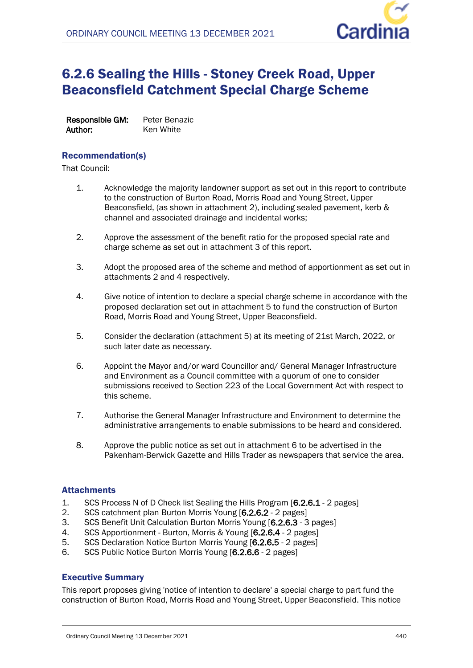

# 6.2.6 Sealing the Hills - Stoney Creek Road, Upper Beaconsfield Catchment Special Charge Scheme

**Responsible GM:** Peter Benazic **Author:** Ken White

## Recommendation(s)

That Council:

- 1. Acknowledge the majority landowner support as set out in this report to contribute to the construction of Burton Road, Morris Road and Young Street, Upper Beaconsfield, (as shown in attachment 2), including sealed pavement, kerb & channel and associated drainage and incidental works;
- 2. Approve the assessment of the benefit ratio for the proposed special rate and charge scheme as set out in attachment 3 of this report.
- 3. Adopt the proposed area of the scheme and method of apportionment as set out in attachments 2 and 4 respectively.
- 4. Give notice of intention to declare a special charge scheme in accordance with the proposed declaration set out in attachment 5 to fund the construction of Burton Road, Morris Road and Young Street, Upper Beaconsfield.
- 5. Consider the declaration (attachment 5) at its meeting of 21st March, 2022, or such later date as necessary.
- 6. Appoint the Mayor and/or ward Councillor and/ General Manager Infrastructure and Environment as a Council committee with a quorum of one to consider submissions received to Section 223 of the Local Government Act with respect to this scheme.
- 7. Authorise the General Manager Infrastructure and Environment to determine the administrative arrangements to enable submissions to be heard and considered.
- 8. Approve the public notice as set out in attachment 6 to be advertised in the Pakenham-Berwick Gazette and Hills Trader as newspapers that service the area.

## **Attachments**

- 1. SCS Process N of D Check list Sealing the Hills Program [**6.2.6.1** 2 pages]
- 2. SCS catchment plan Burton Morris Young [**6.2.6.2** 2 pages]
- 3. SCS Benefit Unit Calculation Burton Morris Young [**6.2.6.3** 3 pages]
- 4. SCS Apportionment Burton, Morris & Young [**6.2.6.4** 2 pages]
- 5. SCS Declaration Notice Burton Morris Young [**6.2.6.5** 2 pages]
- 6. SCS Public Notice Burton Morris Young [**6.2.6.6** 2 pages]

## Executive Summary

This report proposes giving 'notice of intention to declare' a special charge to part fund the construction of Burton Road, Morris Road and Young Street, Upper Beaconsfield. This notice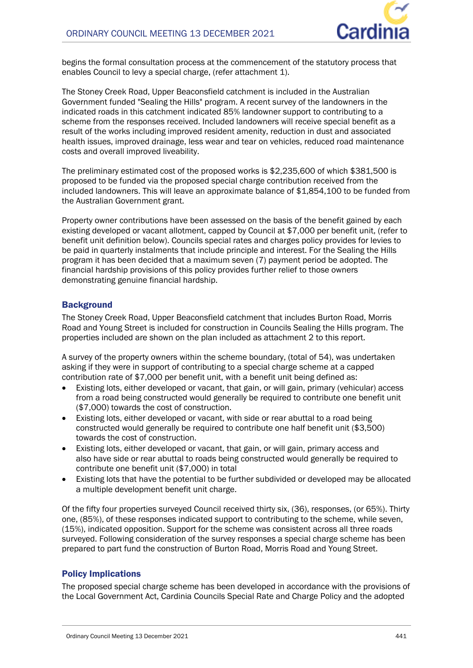

begins the formal consultation process at the commencement of the statutory process that enables Council to levy a special charge, (refer attachment 1).

The Stoney Creek Road, Upper Beaconsfield catchment is included in the Australian Government funded "Sealing the Hills" program. A recent survey of the landowners in the indicated roads in this catchment indicated 85% landowner support to contributing to a scheme from the responses received. Included landowners will receive special benefit as a result of the works including improved resident amenity, reduction in dust and associated health issues, improved drainage, less wear and tear on vehicles, reduced road maintenance costs and overall improved liveability.

The preliminary estimated cost of the proposed works is \$2,235,600 of which \$381,500 is proposed to be funded via the proposed special charge contribution received from the included landowners. This will leave an approximate balance of \$1,854,100 to be funded from the Australian Government grant.

Property owner contributions have been assessed on the basis of the benefit gained by each existing developed or vacant allotment, capped by Council at \$7,000 per benefit unit, (refer to benefit unit definition below). Councils special rates and charges policy provides for levies to be paid in quarterly instalments that include principle and interest. For the Sealing the Hills program it has been decided that a maximum seven (7) payment period be adopted. The financial hardship provisions of this policy provides further relief to those owners demonstrating genuine financial hardship.

## **Background**

The Stoney Creek Road, Upper Beaconsfield catchment that includes Burton Road, Morris Road and Young Street is included for construction in Councils Sealing the Hills program. The properties included are shown on the plan included as attachment 2 to this report.

A survey of the property owners within the scheme boundary, (total of 54), was undertaken asking if they were in support of contributing to a special charge scheme at a capped contribution rate of \$7,000 per benefit unit, with a benefit unit being defined as:

- Existing lots, either developed or vacant, that gain, or will gain, primary (vehicular) access from a road being constructed would generally be required to contribute one benefit unit (\$7,000) towards the cost of construction.
- Existing lots, either developed or vacant, with side or rear abuttal to a road being constructed would generally be required to contribute one half benefit unit (\$3,500) towards the cost of construction.
- Existing lots, either developed or vacant, that gain, or will gain, primary access and also have side or rear abuttal to roads being constructed would generally be required to contribute one benefit unit (\$7,000) in total
- Existing lots that have the potential to be further subdivided or developed may be allocated a multiple development benefit unit charge.

Of the fifty four properties surveyed Council received thirty six, (36), responses, (or 65%). Thirty one, (85%), of these responses indicated support to contributing to the scheme, while seven, (15%), indicated opposition. Support for the scheme was consistent across all three roads surveyed. Following consideration of the survey responses a special charge scheme has been prepared to part fund the construction of Burton Road, Morris Road and Young Street.

## Policy Implications

The proposed special charge scheme has been developed in accordance with the provisions of the Local Government Act, Cardinia Councils Special Rate and Charge Policy and the adopted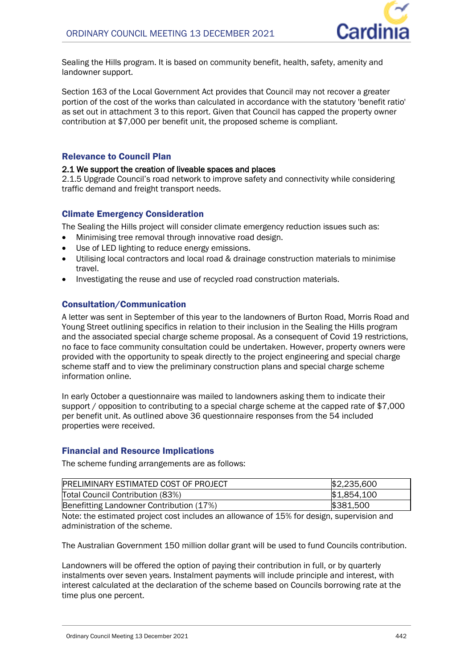

Sealing the Hills program. It is based on community benefit, health, safety, amenity and landowner support.

Section 163 of the Local Government Act provides that Council may not recover a greater portion of the cost of the works than calculated in accordance with the statutory 'benefit ratio' as set out in attachment 3 to this report. Given that Council has capped the property owner contribution at \$7,000 per benefit unit, the proposed scheme is compliant.

## Relevance to Council Plan

### **2.1 We support the creation of liveable spaces and places**

2.1.5 Upgrade Council's road network to improve safety and connectivity while considering traffic demand and freight transport needs.

## Climate Emergency Consideration

The Sealing the Hills project will consider climate emergency reduction issues such as:

- Minimising tree removal through innovative road design.
- Use of LED lighting to reduce energy emissions.
- Utilising local contractors and local road & drainage construction materials to minimise travel.
- Investigating the reuse and use of recycled road construction materials.

## Consultation/Communication

A letter was sent in September of this year to the landowners of Burton Road, Morris Road and Young Street outlining specifics in relation to their inclusion in the Sealing the Hills program and the associated special charge scheme proposal. As a consequent of Covid 19 restrictions, no face to face community consultation could be undertaken. However, property owners were provided with the opportunity to speak directly to the project engineering and special charge scheme staff and to view the preliminary construction plans and special charge scheme information online.

In early October a questionnaire was mailed to landowners asking them to indicate their support / opposition to contributing to a special charge scheme at the capped rate of \$7,000 per benefit unit. As outlined above 36 questionnaire responses from the 54 included properties were received.

### Financial and Resource Implications

The scheme funding arrangements are as follows:

| <b>PRELIMINARY ESTIMATED COST OF PROJECT</b> | \$2,235,600 |
|----------------------------------------------|-------------|
| Total Council Contribution (83%)             | \$1,854,100 |
| Benefitting Landowner Contribution (17%)     | \$381,500   |

Note: the estimated project cost includes an allowance of 15% for design, supervision and administration of the scheme.

The Australian Government 150 million dollar grant will be used to fund Councils contribution.

Landowners will be offered the option of paying their contribution in full, or by quarterly instalments over seven years. Instalment payments will include principle and interest, with interest calculated at the declaration of the scheme based on Councils borrowing rate at the time plus one percent.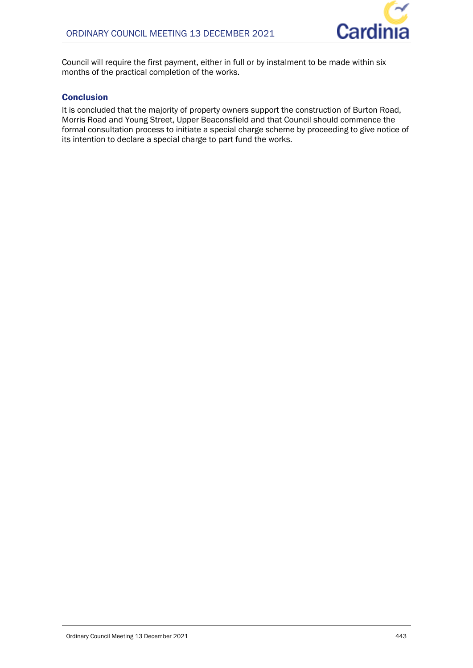

Council will require the first payment, either in full or by instalment to be made within six months of the practical completion of the works.

## **Conclusion**

It is concluded that the majority of property owners support the construction of Burton Road, Morris Road and Young Street, Upper Beaconsfield and that Council should commence the formal consultation process to initiate a special charge scheme by proceeding to give notice of its intention to declare a special charge to part fund the works.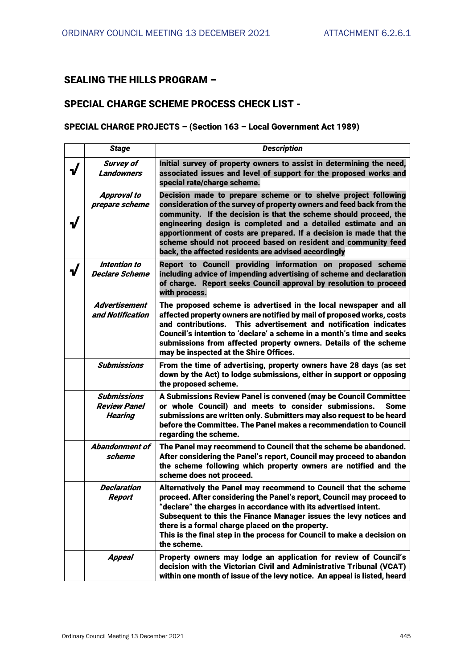## **SEALING THE HILLS PROGRAM –**

## **SPECIAL CHARGE SCHEME PROCESS CHECK LIST -**

## **SPECIAL CHARGE PROJECTS – (Section 163 – Local Government Act 1989)**

| <b>Stage</b>                                                | <b>Description</b>                                                                                                                                                                                                                                                                                                                                                                                                                                                              |
|-------------------------------------------------------------|---------------------------------------------------------------------------------------------------------------------------------------------------------------------------------------------------------------------------------------------------------------------------------------------------------------------------------------------------------------------------------------------------------------------------------------------------------------------------------|
| <b>Survey of</b><br><b>Landowners</b>                       | Initial survey of property owners to assist in determining the need,<br>associated issues and level of support for the proposed works and<br>special rate/charge scheme.                                                                                                                                                                                                                                                                                                        |
| <b>Approval to</b><br>prepare scheme                        | Decision made to prepare scheme or to shelve project following<br>consideration of the survey of property owners and feed back from the<br>community. If the decision is that the scheme should proceed, the<br>engineering design is completed and a detailed estimate and an<br>apportionment of costs are prepared. If a decision is made that the<br>scheme should not proceed based on resident and community feed<br>back, the affected residents are advised accordingly |
| Intention to<br><b>Declare Scheme</b>                       | Report to Council providing information on proposed scheme<br>including advice of impending advertising of scheme and declaration<br>of charge. Report seeks Council approval by resolution to proceed<br>with process.                                                                                                                                                                                                                                                         |
| <b>Advertisement</b><br>and Notification                    | The proposed scheme is advertised in the local newspaper and all<br>affected property owners are notified by mail of proposed works, costs<br>This advertisement and notification indicates<br>and contributions.<br>Council's intention to 'declare' a scheme in a month's time and seeks<br>submissions from affected property owners. Details of the scheme<br>may be inspected at the Shire Offices.                                                                        |
| <b>Submissions</b>                                          | From the time of advertising, property owners have 28 days (as set<br>down by the Act) to lodge submissions, either in support or opposing<br>the proposed scheme.                                                                                                                                                                                                                                                                                                              |
| <b>Submissions</b><br><b>Review Panel</b><br><b>Hearing</b> | A Submissions Review Panel is convened (may be Council Committee<br>or whole Council) and meets to consider submissions.<br><b>Some</b><br>submissions are written only. Submitters may also request to be heard<br>before the Committee. The Panel makes a recommendation to Council<br>regarding the scheme.                                                                                                                                                                  |
| <b>Abandonment of</b><br>scheme                             | The Panel may recommend to Council that the scheme be abandoned.<br>After considering the Panel's report, Council may proceed to abandon<br>the scheme following which property owners are notified and the<br>scheme does not proceed.                                                                                                                                                                                                                                         |
| <b>Declaration</b><br>Report                                | Alternatively the Panel may recommend to Council that the scheme<br>proceed. After considering the Panel's report, Council may proceed to<br>"declare" the charges in accordance with its advertised intent.<br>Subsequent to this the Finance Manager issues the levy notices and<br>there is a formal charge placed on the property.<br>This is the final step in the process for Council to make a decision on<br>the scheme.                                                |
| <b>Appeal</b>                                               | Property owners may lodge an application for review of Council's<br>decision with the Victorian Civil and Administrative Tribunal (VCAT)<br>within one month of issue of the levy notice. An appeal is listed, heard                                                                                                                                                                                                                                                            |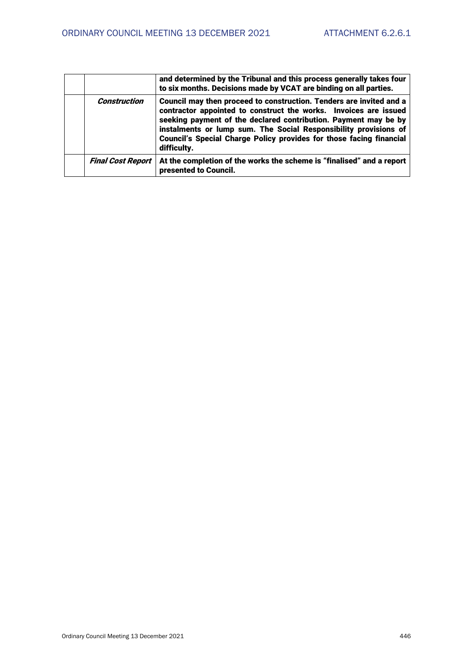|                          | and determined by the Tribunal and this process generally takes four<br>to six months. Decisions made by VCAT are binding on all parties.                                                                                                                                                                                                                            |
|--------------------------|----------------------------------------------------------------------------------------------------------------------------------------------------------------------------------------------------------------------------------------------------------------------------------------------------------------------------------------------------------------------|
| <b>Construction</b>      | Council may then proceed to construction. Tenders are invited and a<br>contractor appointed to construct the works. Invoices are issued<br>seeking payment of the declared contribution. Payment may be by<br>instalments or lump sum. The Social Responsibility provisions of<br>Council's Special Charge Policy provides for those facing financial<br>difficulty. |
| <b>Final Cost Report</b> | At the completion of the works the scheme is "finalised" and a report<br>presented to Council.                                                                                                                                                                                                                                                                       |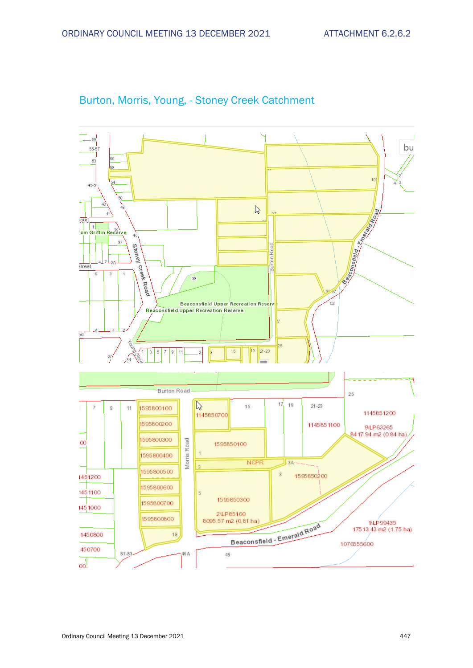

## Burton, Morris, Young, - Stoney Creek Catchment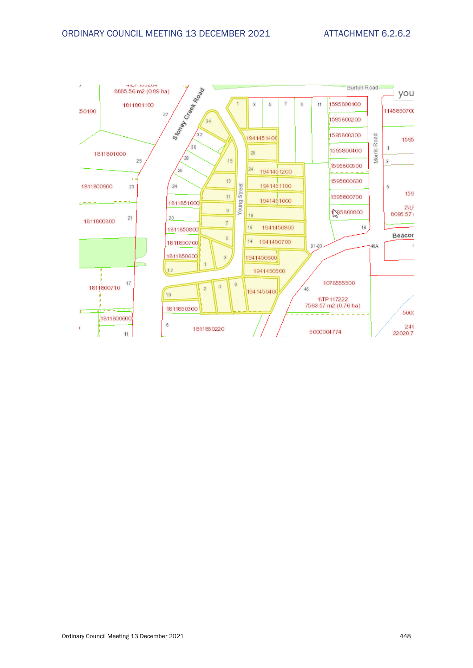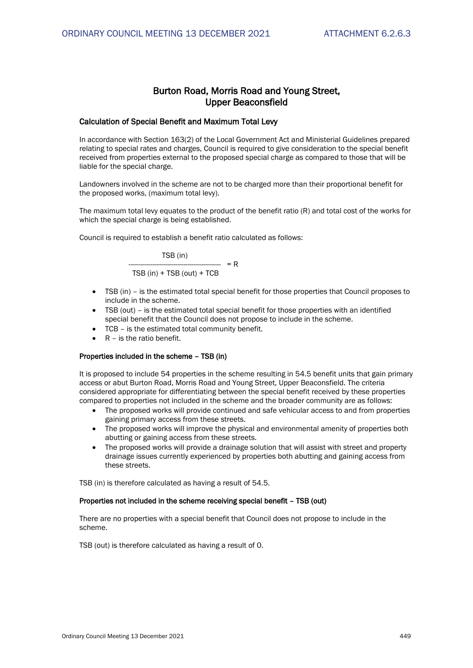## **Burton Road, Morris Road and Young Street, Upper Beaconsfield**

### **Calculation of Special Benefit and Maximum Total Levy**

In accordance with Section 163(2) of the Local Government Act and Ministerial Guidelines prepared relating to special rates and charges, Council is required to give consideration to the special benefit received from properties external to the proposed special charge as compared to those that will be liable for the special charge.

Landowners involved in the scheme are not to be charged more than their proportional benefit for the proposed works, (maximum total levy).

The maximum total levy equates to the product of the benefit ratio (R) and total cost of the works for which the special charge is being established.

Council is required to establish a benefit ratio calculated as follows:

$$
TSB (in)
$$
\n
$$
TSB (in)
$$
\n
$$
= R
$$
\n
$$
TSB (in) + TSB (out) + TCB
$$

- TSB (in) is the estimated total special benefit for those properties that Council proposes to include in the scheme.
- TSB (out) is the estimated total special benefit for those properties with an identified special benefit that the Council does not propose to include in the scheme.
- TCB is the estimated total community benefit.
- R is the ratio benefit.

#### **Properties included in the scheme – TSB (in)**

It is proposed to include 54 properties in the scheme resulting in 54.5 benefit units that gain primary access or abut Burton Road, Morris Road and Young Street, Upper Beaconsfield. The criteria considered appropriate for differentiating between the special benefit received by these properties compared to properties not included in the scheme and the broader community are as follows:

- The proposed works will provide continued and safe vehicular access to and from properties gaining primary access from these streets.
- The proposed works will improve the physical and environmental amenity of properties both abutting or gaining access from these streets.
- The proposed works will provide a drainage solution that will assist with street and property drainage issues currently experienced by properties both abutting and gaining access from these streets.

TSB (in) is therefore calculated as having a result of 54.5.

#### **Properties not included in the scheme receiving special benefit – TSB (out)**

There are no properties with a special benefit that Council does not propose to include in the scheme.

TSB (out) is therefore calculated as having a result of 0.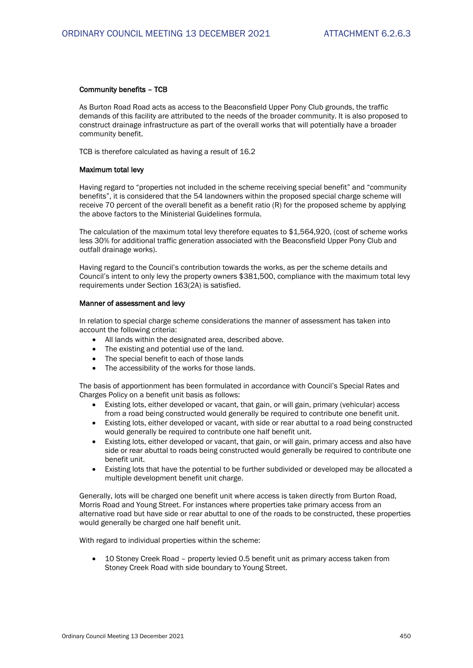#### **Community benefits – TCB**

As Burton Road Road acts as access to the Beaconsfield Upper Pony Club grounds, the traffic demands of this facility are attributed to the needs of the broader community. It is also proposed to construct drainage infrastructure as part of the overall works that will potentially have a broader community benefit.

TCB is therefore calculated as having a result of 16.2

#### **Maximum total levy**

Having regard to "properties not included in the scheme receiving special benefit" and "community benefits", it is considered that the 54 landowners within the proposed special charge scheme will receive 70 percent of the overall benefit as a benefit ratio (R) for the proposed scheme by applying the above factors to the Ministerial Guidelines formula.

The calculation of the maximum total levy therefore equates to \$1,564,920, (cost of scheme works less 30% for additional traffic generation associated with the Beaconsfield Upper Pony Club and outfall drainage works).

Having regard to the Council's contribution towards the works, as per the scheme details and Council's intent to only levy the property owners \$381,500, compliance with the maximum total levy requirements under Section 163(2A) is satisfied.

#### **Manner of assessment and levy**

In relation to special charge scheme considerations the manner of assessment has taken into account the following criteria:

- All lands within the designated area, described above.
- The existing and potential use of the land.
- The special benefit to each of those lands
- The accessibility of the works for those lands.

The basis of apportionment has been formulated in accordance with Council's Special Rates and Charges Policy on a benefit unit basis as follows:

- Existing lots, either developed or vacant, that gain, or will gain, primary (vehicular) access from a road being constructed would generally be required to contribute one benefit unit.
- Existing lots, either developed or vacant, with side or rear abuttal to a road being constructed would generally be required to contribute one half benefit unit.
- Existing lots, either developed or vacant, that gain, or will gain, primary access and also have side or rear abuttal to roads being constructed would generally be required to contribute one benefit unit.
- Existing lots that have the potential to be further subdivided or developed may be allocated a multiple development benefit unit charge.

Generally, lots will be charged one benefit unit where access is taken directly from Burton Road, Morris Road and Young Street. For instances where properties take primary access from an alternative road but have side or rear abuttal to one of the roads to be constructed, these properties would generally be charged one half benefit unit.

With regard to individual properties within the scheme:

 10 Stoney Creek Road – property levied 0.5 benefit unit as primary access taken from Stoney Creek Road with side boundary to Young Street.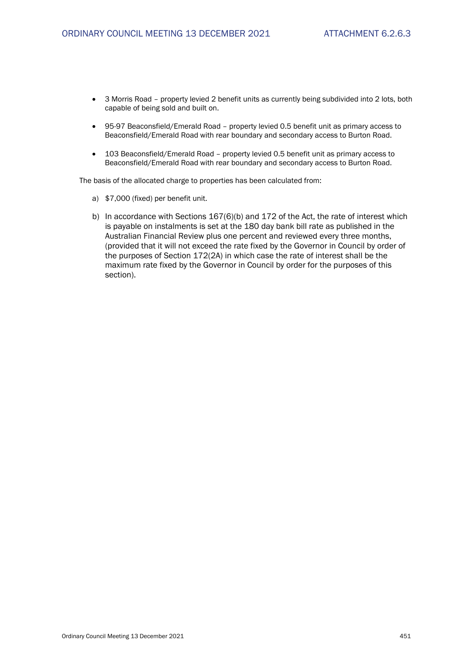- 3 Morris Road property levied 2 benefit units as currently being subdivided into 2 lots, both capable of being sold and built on.
- 95-97 Beaconsfield/Emerald Road property levied 0.5 benefit unit as primary access to Beaconsfield/Emerald Road with rear boundary and secondary access to Burton Road.
- 103 Beaconsfield/Emerald Road property levied 0.5 benefit unit as primary access to Beaconsfield/Emerald Road with rear boundary and secondary access to Burton Road.

The basis of the allocated charge to properties has been calculated from:

- a) \$7,000 (fixed) per benefit unit.
- b) In accordance with Sections 167(6)(b) and 172 of the Act, the rate of interest which is payable on instalments is set at the 180 day bank bill rate as published in the Australian Financial Review plus one percent and reviewed every three months, (provided that it will not exceed the rate fixed by the Governor in Council by order of the purposes of Section 172(2A) in which case the rate of interest shall be the maximum rate fixed by the Governor in Council by order for the purposes of this section).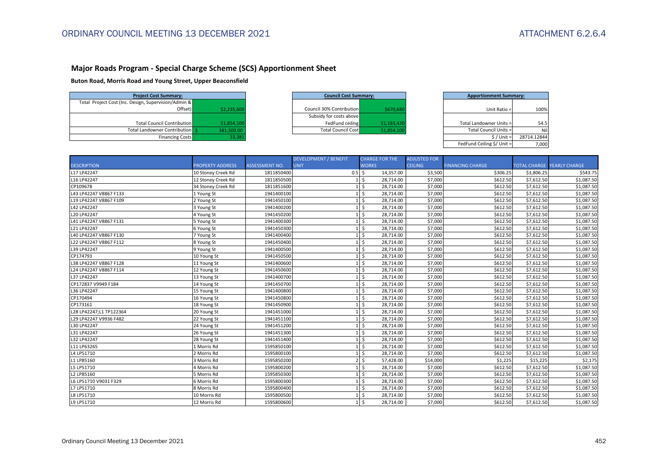## **Major Roads Program - Special Charge Scheme (SCS) Apportionment Sheet**

**Buton Road, Morris Road and Young Street, Upper Beaconsfield**

| <b>Project Cost Summary:</b>                         |             |
|------------------------------------------------------|-------------|
| Total Project Cost (Inc. Design, Supervision/Admin & |             |
| Offset)                                              | \$2,235,600 |
|                                                      |             |
| <b>Total Council Contribution</b>                    | \$1,854,100 |
| Total Landowner Contribution S                       | 381,500.00  |
| <b>Financing Costs</b>                               | 33.381      |

| <b>Project Cost Summary:</b>      |             |                          | <b>Council Cost Summary:</b>             |  | <b>Apportionment Summary:</b> |      |
|-----------------------------------|-------------|--------------------------|------------------------------------------|--|-------------------------------|------|
| Design, Supervision/Admin &       |             |                          |                                          |  |                               |      |
| Offset)                           | \$2,235,600 | Council 30% Contribution | \$670,680                                |  | Unit Ratio =                  | 100% |
|                                   |             |                          | Subsidy for costs above                  |  |                               |      |
| <b>Total Council Contribution</b> | \$1,854,100 |                          | FedFund ceiling<br>\$1,183,420           |  | Total Landowner Units =       | 54.5 |
| Total Landowner Contribution S    | 381.500.00  |                          | \$1,854,100<br><b>Total Council Cost</b> |  | Total Council Units =         | Nil  |
|                                   |             |                          |                                          |  |                               |      |

| Summary:                     |             | <b>Council Cost Summary:</b> |             | <b>Apportionment Summary:</b> |             |
|------------------------------|-------------|------------------------------|-------------|-------------------------------|-------------|
| vision/Admin &               |             |                              |             |                               |             |
| Offset)                      | \$2,235,600 | Council 30% Contribution     | \$670,680   | Unit Ratio =                  | 100%        |
|                              |             | Subsidy for costs above      |             |                               |             |
| cil Contribution             | \$1,854,100 | FedFund ceiling              | \$1,183,420 | Total Landowner Units =       | 54.5        |
| er Contribution <sup>1</sup> | 381,500.00  | <b>Total Council Cost</b>    | \$1,854,100 | Total Council Units =         | Nil         |
| <b>Financing Costs</b>       | 33,381      |                              |             | $S /$ Unit =                  | 28714.12844 |
|                              |             |                              |             | FedFund Ceiling \$/ Unit =    | 7.000       |

|                         |                         |                       | <b>DEVELOPMENT / BENEFIT</b> | <b>CHARGE FOR THE</b> | <b>ADJUSTED FOR</b> |                         |            |                                   |
|-------------------------|-------------------------|-----------------------|------------------------------|-----------------------|---------------------|-------------------------|------------|-----------------------------------|
| <b>DESCRIPTION</b>      | <b>PROPERTY ADDRESS</b> | <b>ASSESSMENT NO.</b> | <b>UNIT</b>                  | <b>WORKS</b>          | <b>CEILING</b>      | <b>FINANCING CHARGE</b> |            | <b>TOTAL CHARGE YEARLY CHARGE</b> |
| L17 LP42247             | 10 Stoney Creek Rd      | 1811850400            | 0.5                          | \$<br>14,357.00       | \$3,500             | \$306.25                | \$3,806.25 | \$543.75                          |
| L16 LP42247             | 12 Stoney Creek Rd      | 1811850500            |                              | Ŝ.<br>28,714.00       | \$7,000             | \$612.50                | \$7,612.50 | \$1,087.50                        |
| CP109678                | 34 Stoney Creek Rd      | 1811851600            |                              | Ŝ.<br>28.714.00       | \$7,000             | \$612.50                | \$7,612.50 | \$1,087.50                        |
| L43 LP42247 V8867 F133  | 1 Young St              | 1941400100            |                              | Ś<br>28.714.00        | \$7,000             | \$612.50                | \$7,612.50 | \$1,087.50                        |
| L19 LP42247 V8867 F109  | 2 Young St              | 1941450100            |                              | Ś<br>28,714.00        | \$7,000             | \$612.50                | \$7,612.50 | \$1,087.50                        |
| L42 LP42247             | 3 Young St              | 1941400200            |                              | Ŝ.<br>28,714.00       | \$7,000             | \$612.50                | \$7,612.50 | \$1,087.50                        |
| L20 LP42247             | 4 Young St              | 1941450200            |                              | \$<br>28,714.00       | \$7,000             | \$612.50                | \$7,612.50 | \$1,087.50                        |
| L41 LP42247 V8867 F131  | 5 Young St              | 1941400300            |                              | \$<br>28,714.00       | \$7,000             | \$612.50                | \$7,612.50 | \$1,087.50                        |
| L21 LP42247             | 6 Young St              | 1941450300            |                              | \$<br>28,714.00       | \$7,000             | \$612.50                | \$7,612.50 | \$1,087.50                        |
| L40 LP42247 V8867 F130  | 7 Young St              | 1941400400            |                              | \$<br>28,714.00       | \$7,000             | \$612.50                | \$7,612.50 | \$1,087.50                        |
| L22 LP42247 V8867 F112  | 8 Young St              | 1941450400            |                              | Ś<br>28,714.00        | \$7,000             | \$612.50                | \$7,612.50 | \$1,087.50                        |
| L39 LP42247             | 9 Young St              | 1941400500            |                              | \$<br>28,714.00       | \$7,000             | \$612.50                | \$7,612.50 | \$1,087.50                        |
| CP174793                | 10 Young St             | 1941450500            |                              | \$<br>28,714.00       | \$7,000             | \$612.50                | \$7,612.50 | \$1,087.50                        |
| L38 LP42247 V8867 F128  | 11 Young St             | 1941400600            |                              | \$<br>28,714.00       | \$7,000             | \$612.50                | \$7,612.50 | \$1,087.50                        |
| L24 LP42247 V8867 F114  | 12 Young St             | 1941450600            |                              | \$<br>28,714.00       | \$7,000             | \$612.50                | \$7,612.50 | \$1,087.50                        |
| L37 LP42247             | 13 Young St             | 1941400700            |                              | Ś<br>28.714.00        | \$7,000             | \$612.50                | \$7.612.50 | \$1,087.50                        |
| CP172837 V9949 F184     | 14 Young St             | 1941450700            |                              | Ś<br>28,714.00        | \$7,000             | \$612.50                | \$7,612.50 | \$1,087.50                        |
| L36 LP42247             | 15 Young St             | 1941400800            |                              | \$<br>28,714.00       | \$7,000             | \$612.50                | \$7,612.50 | \$1,087.50                        |
| CP170494                | 16 Young St             | 1941450800            |                              | \$<br>28,714.00       | \$7,000             | \$612.50                | \$7,612.50 | \$1,087.50                        |
| CP173161                | 18 Young St             | 1941450900            |                              | \$<br>28,714.00       | \$7,000             | \$612.50                | \$7,612.50 | \$1,087.50                        |
| L28 LP42247;L1 TP122364 | 20 Young St             | 1941451000            |                              | \$<br>28,714.00       | \$7,000             | \$612.50                | \$7,612.50 | \$1,087.50                        |
| L29 LP42247 V9936 F482  | 22 Young St             | 1941451100            |                              | Ś<br>28,714.00        | \$7,000             | \$612.50                | \$7,612.50 | \$1,087.50                        |
| L30 LP42247             | 24 Young St             | 1941451200            |                              | Ś<br>28,714.00        | \$7,000             | \$612.50                | \$7,612.50 | \$1,087.50                        |
| L31 LP42247             | 26 Young St             | 1941451300            |                              | \$<br>28,714.00       | \$7,000             | \$612.50                | \$7,612.50 | \$1,087.50                        |
| L32 LP42247             | 28 Young St             | 1941451400            |                              | \$<br>28,714.00       | \$7,000             | \$612.50                | \$7,612.50 | \$1,087.50                        |
| L11 LP63265             | 1 Morris Rd             | 1595850100            |                              | \$<br>28,714.00       | \$7,000             | \$612.50                | \$7,612.50 | \$1,087.50                        |
| L4 LP51710              | 2 Morris Rd             | 1595800100            |                              | Ŝ.<br>28,714.00       | \$7,000             | \$612.50                | \$7,612.50 | \$1,087.50                        |
| L1 LP85160              | 3 Morris Rd             | 1595850200            | $\mathfrak{p}$               | \$<br>57,428.00       | \$14,000            | \$1,225                 | \$15,225   | \$2,175                           |
| L5 LP51710              | 4 Morris Rd             | 1595800200            |                              | Ś<br>28,714.00        | \$7,000             | \$612.50                | \$7,612.50 | \$1,087.50                        |
| L2 LP85160              | 5 Morris Rd             | 1595850300            |                              | Ś<br>28,714.00        | \$7,000             | \$612.50                | \$7,612.50 | \$1,087.50                        |
| L6 LP51710 V9031 F329   | 6 Morris Rd             | 1595800300            |                              | \$<br>28,714.00       | \$7,000             | \$612.50                | \$7,612.50 | \$1,087.50                        |
| L7 LP51710              | 8 Morris Rd             | 1595800400            |                              | \$<br>28,714.00       | \$7,000             | \$612.50                | \$7,612.50 | \$1,087.50                        |
| L8 LP51710              | 10 Morris Rd            | 1595800500            |                              | Ŝ.<br>28,714.00       | \$7,000             | \$612.50                | \$7,612.50 | \$1,087.50                        |
| L9 LP51710              | 12 Morris Rd            | 1595800600            |                              | Ŝ.<br>28,714.00       | \$7,000             | \$612.50                | \$7,612.50 | \$1,087.50                        |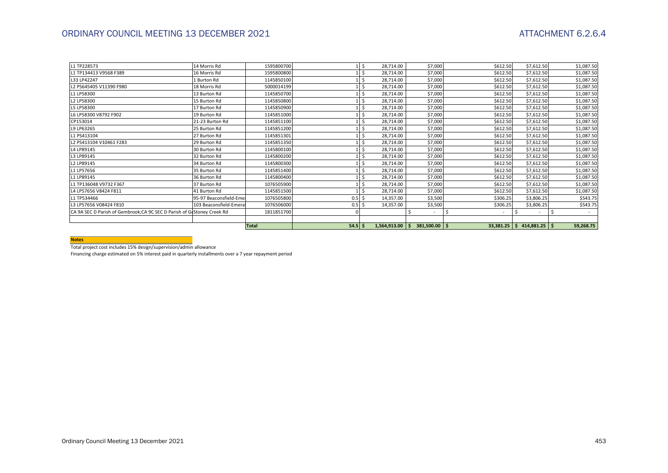| L1 TP228573                                                             | 14 Morris Rd            | 1595800700   |           | -\$  | 28,714.00           | \$7,000                    | \$612.50 | \$7,612.50                      | \$1,087.50 |
|-------------------------------------------------------------------------|-------------------------|--------------|-----------|------|---------------------|----------------------------|----------|---------------------------------|------------|
| L1 TP134413 V9568 F389                                                  | 16 Morris Rd            | 1595800800   |           | \$   | 28,714.00           | \$7,000                    | \$612.50 | \$7,612.50                      | \$1,087.50 |
| L33 LP42247                                                             | 1 Burton Rd             | 1145850100   |           |      | 28,714.00           | \$7,000                    | \$612.50 | \$7,612.50                      | \$1,087.50 |
| L2 PS645405 V11390 F980                                                 | 18 Morris Rd            | 5000014199   |           |      | 28,714.00           | \$7,000                    | \$612.50 | \$7,612.50                      | \$1,087.50 |
| L1 LP58300                                                              | 13 Burton Rd            | 1145850700   |           | -\$  | 28,714.00           | \$7,000                    | \$612.50 | \$7,612.50                      | \$1,087.50 |
| L2 LP58300                                                              | 15 Burton Rd            | 1145850800   |           | \$   | 28,714.00           | \$7,000                    | \$612.50 | \$7,612.50                      | \$1,087.50 |
| L5 LP58300                                                              | 17 Burton Rd            | 1145850900   |           | \$   | 28,714.00           | \$7,000                    | \$612.50 | \$7,612.50                      | \$1,087.50 |
| L6 LP58300 V8792 F902                                                   | 19 Burton Rd            | 1145851000   |           |      | 28,714.00           | \$7,000                    | \$612.50 | \$7,612.50                      | \$1,087.50 |
| CP153014                                                                | 21-23 Burton Rd         | 1145851100   |           | -\$  | 28,714.00           | \$7,000                    | \$612.50 | \$7,612.50                      | \$1,087.50 |
| L9 LP63265                                                              | 25 Burton Rd            | 1145851200   |           | -\$  | 28,714.00           | \$7,000                    | \$612.50 | \$7,612.50                      | \$1,087.50 |
| L1 PS413104                                                             | 27 Burton Rd            | 1145851301   |           | Ś    | 28,714.00           | \$7,000                    | \$612.50 | \$7,612.50                      | \$1,087.50 |
| L2 PS413104 V10461 F283                                                 | 29 Burton Rd            | 1145851350   |           | Ś    | 28,714.00           | \$7,000                    | \$612.50 | \$7,612.50                      | \$1,087.50 |
| L4 LP89145                                                              | 30 Burton Rd            | 1145800100   |           |      | 28,714.00           | \$7,000                    | \$612.50 | \$7,612.50                      | \$1,087.50 |
| L3 LP89145                                                              | 32 Burton Rd            | 1145800200   |           | l \$ | 28,714.00           | \$7,000                    | \$612.50 | \$7,612.50                      | \$1,087.50 |
| L2 LP89145                                                              | 34 Burton Rd            | 1145800300   |           |      | 28,714.00           | \$7,000                    | \$612.50 | \$7,612.50                      | \$1,087.50 |
| L1 LP57656                                                              | 35 Burton Rd            | 1145851400   |           | \$   | 28,714.00           | \$7,000                    | \$612.50 | \$7,612.50                      | \$1,087.50 |
| L1 LP89145                                                              | 36 Burton Rd            | 1145800400   |           | Ś    | 28,714.00           | \$7,000                    | \$612.50 | \$7,612.50                      | \$1,087.50 |
| L1 TP136048 V9732 F367                                                  | 37 Burton Rd            | 1076505900   |           |      | 28,714.00           | \$7,000                    | \$612.50 | \$7,612.50                      | \$1,087.50 |
| L4 LP57656 V8424 F811                                                   | 41 Burton Rd            | 1145851500   |           | -Ś   | 28,714.00           | \$7,000                    | \$612.50 | \$7,612.50                      | \$1,087.50 |
| L1 TP534466                                                             | 95-97 Beaconsfield-Emel | 1076505800   | 0.5       | Ŝ.   | 14,357.00           | \$3,500                    | \$306.25 | \$3,806.25                      | \$543.75   |
| L3 LP57656 V08424 F810                                                  | 103 Beaconsfield-Emeral | 1076506000   | 0.5       |      | 14,357.00           | \$3,500                    | \$306.25 | \$3,806.25                      | \$543.75   |
| CA 9A SEC D Parish of Gembrook; CA 9C SEC D Parish of GrStoney Creek Rd |                         | 1811851700   |           |      |                     |                            | S.       | $\overline{\phantom{a}}$        |            |
|                                                                         |                         |              |           |      |                     |                            |          |                                 |            |
|                                                                         |                         | <b>Total</b> | $54.5$ \$ |      | $1,564,913.00$   \$ | $381,500.00$ $\frac{1}{5}$ |          | $33,381.25$   \$414,881.25   \$ | 59,268.75  |

#### **Notes**

Total project cost includes 15% design/supervision/admin allowance

Financing charge estimated on 5% interest paid in quarterly installments over a 7 year repayment period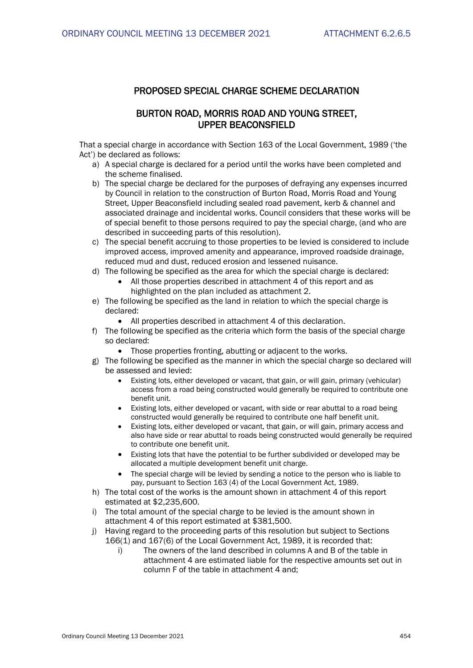## **PROPOSED SPECIAL CHARGE SCHEME DECLARATION**

## **BURTON ROAD, MORRIS ROAD AND YOUNG STREET, UPPER BEACONSFIELD**

That a special charge in accordance with Section 163 of the Local Government, 1989 ('the Act') be declared as follows:

- a) A special charge is declared for a period until the works have been completed and the scheme finalised.
- b) The special charge be declared for the purposes of defraying any expenses incurred by Council in relation to the construction of Burton Road, Morris Road and Young Street, Upper Beaconsfield including sealed road pavement, kerb & channel and associated drainage and incidental works. Council considers that these works will be of special benefit to those persons required to pay the special charge, (and who are described in succeeding parts of this resolution).
- c) The special benefit accruing to those properties to be levied is considered to include improved access, improved amenity and appearance, improved roadside drainage, reduced mud and dust, reduced erosion and lessened nuisance.
- d) The following be specified as the area for which the special charge is declared:
	- All those properties described in attachment 4 of this report and as highlighted on the plan included as attachment 2.
- e) The following be specified as the land in relation to which the special charge is declared:
	- All properties described in attachment 4 of this declaration.
- f) The following be specified as the criteria which form the basis of the special charge so declared:
	- Those properties fronting, abutting or adjacent to the works.
- g) The following be specified as the manner in which the special charge so declared will be assessed and levied:
	- Existing lots, either developed or vacant, that gain, or will gain, primary (vehicular) access from a road being constructed would generally be required to contribute one benefit unit.
	- Existing lots, either developed or vacant, with side or rear abuttal to a road being constructed would generally be required to contribute one half benefit unit.
	- Existing lots, either developed or vacant, that gain, or will gain, primary access and also have side or rear abuttal to roads being constructed would generally be required to contribute one benefit unit.
	- Existing lots that have the potential to be further subdivided or developed may be allocated a multiple development benefit unit charge.
	- The special charge will be levied by sending a notice to the person who is liable to pay, pursuant to Section 163 (4) of the Local Government Act, 1989.
- h) The total cost of the works is the amount shown in attachment 4 of this report estimated at \$2,235,600.
- i) The total amount of the special charge to be levied is the amount shown in attachment 4 of this report estimated at \$381,500.
- j) Having regard to the proceeding parts of this resolution but subject to Sections 166(1) and 167(6) of the Local Government Act, 1989, it is recorded that:
	- i) The owners of the land described in columns A and B of the table in attachment 4 are estimated liable for the respective amounts set out in column F of the table in attachment 4 and;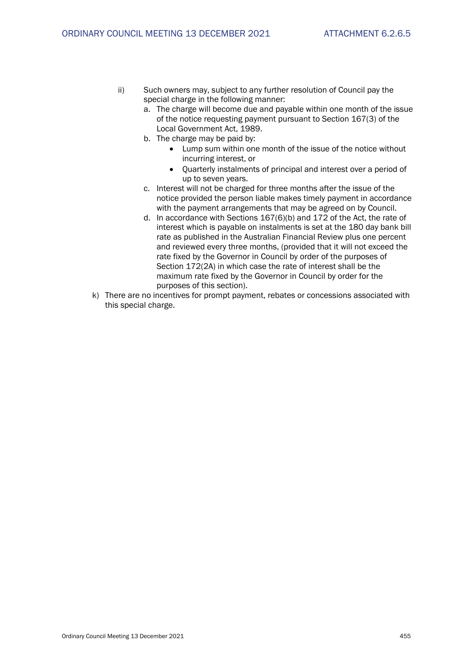- ii) Such owners may, subject to any further resolution of Council pay the special charge in the following manner:
	- a. The charge will become due and payable within one month of the issue of the notice requesting payment pursuant to Section 167(3) of the Local Government Act, 1989.
	- b. The charge may be paid by:
		- Lump sum within one month of the issue of the notice without incurring interest, or
		- Quarterly instalments of principal and interest over a period of up to seven years.
	- c. Interest will not be charged for three months after the issue of the notice provided the person liable makes timely payment in accordance with the payment arrangements that may be agreed on by Council.
	- d. In accordance with Sections 167(6)(b) and 172 of the Act, the rate of interest which is payable on instalments is set at the 180 day bank bill rate as published in the Australian Financial Review plus one percent and reviewed every three months, (provided that it will not exceed the rate fixed by the Governor in Council by order of the purposes of Section 172(2A) in which case the rate of interest shall be the maximum rate fixed by the Governor in Council by order for the purposes of this section).
- k) There are no incentives for prompt payment, rebates or concessions associated with this special charge.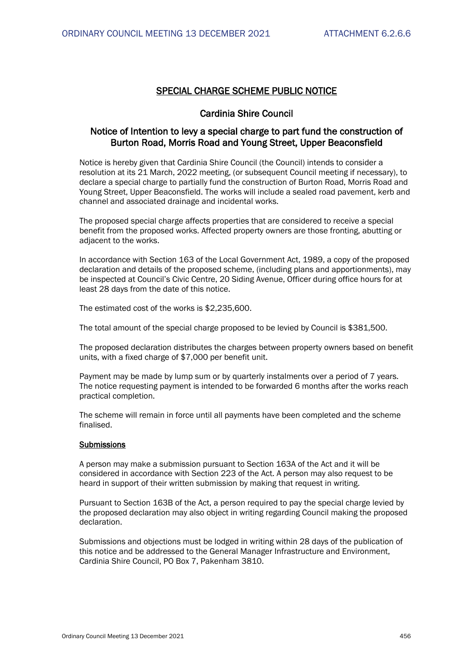## **SPECIAL CHARGE SCHEME PUBLIC NOTICE**

## **Cardinia Shire Council**

## **Notice of Intention to levy a special charge to part fund the construction of Burton Road, Morris Road and Young Street, Upper Beaconsfield**

Notice is hereby given that Cardinia Shire Council (the Council) intends to consider a resolution at its 21 March, 2022 meeting, (or subsequent Council meeting if necessary), to declare a special charge to partially fund the construction of Burton Road, Morris Road and Young Street, Upper Beaconsfield. The works will include a sealed road pavement, kerb and channel and associated drainage and incidental works.

The proposed special charge affects properties that are considered to receive a special benefit from the proposed works. Affected property owners are those fronting, abutting or adjacent to the works.

In accordance with Section 163 of the Local Government Act, 1989, a copy of the proposed declaration and details of the proposed scheme, (including plans and apportionments), may be inspected at Council's Civic Centre, 20 Siding Avenue, Officer during office hours for at least 28 days from the date of this notice.

The estimated cost of the works is \$2,235,600.

The total amount of the special charge proposed to be levied by Council is \$381,500.

The proposed declaration distributes the charges between property owners based on benefit units, with a fixed charge of \$7,000 per benefit unit.

Payment may be made by lump sum or by quarterly instalments over a period of 7 years. The notice requesting payment is intended to be forwarded 6 months after the works reach practical completion.

The scheme will remain in force until all payments have been completed and the scheme finalised.

### **Submissions**

A person may make a submission pursuant to Section 163A of the Act and it will be considered in accordance with Section 223 of the Act. A person may also request to be heard in support of their written submission by making that request in writing.

Pursuant to Section 163B of the Act, a person required to pay the special charge levied by the proposed declaration may also object in writing regarding Council making the proposed declaration.

Submissions and objections must be lodged in writing within 28 days of the publication of this notice and be addressed to the General Manager Infrastructure and Environment, Cardinia Shire Council, PO Box 7, Pakenham 3810.